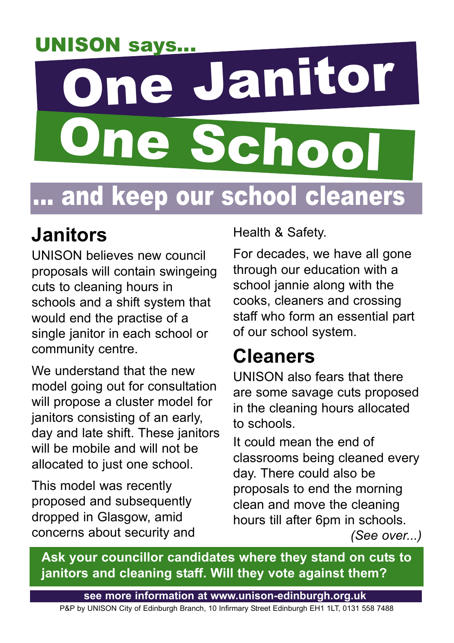## UNISON says...

# One Janitor ne Schoo ... and keep our school cleaners

### **Janitors**

UNISON believes new council proposals will contain swingeing cuts to cleaning hours in schools and a shift system that would end the practise of a single janitor in each school or community centre.

We understand that the new model going out for consultation will propose a cluster model for janitors consisting of an early, day and late shift. These janitors will be mobile and will not be allocated to just one school.

This model was recently proposed and subsequently dropped in Glasgow, amid concerns about security and Health & Safety.

For decades, we have all gone through our education with a school jannie along with the cooks, cleaners and crossing staff who form an essential part of our school system.

#### **Cleaners**

UNISON also fears that there are some savage cuts proposed in the cleaning hours allocated to schools.

It could mean the end of classrooms being cleaned every day. There could also be proposals to end the morning clean and move the cleaning hours till after 6pm in schools. *(See over...)*

**Ask your councillor candidates where they stand on cuts to janitors and cleaning staff. Will they vote against them?**

**see more information at www.unison-edinburgh.org.uk**

P&P by UNISON City of Edinburgh Branch, 10 Infirmary Street Edinburgh EH1 1LT, 0131 558 7488